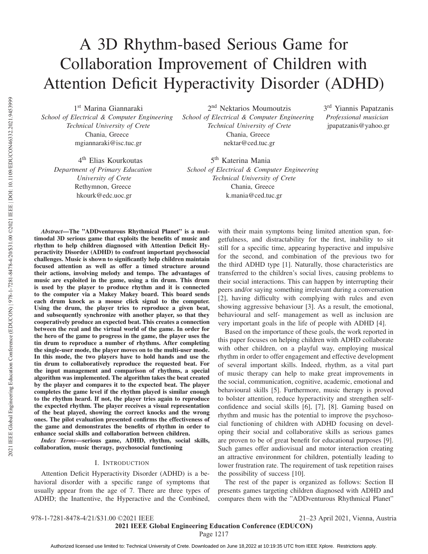# A 3D Rhythm-based Serious Game for Collaboration Improvement of Children with Attention Deficit Hyperactivity Disorder (ADHD) 1st Marina Giannaraki 2nd Nektarios Moumoutzis

*School of Electrical & Computer Engineering Technical University of Crete* Chania, Greece mgiannaraki@isc.tuc.gr

4th Elias Kourkoutas *Department of Primary Education University of Crete* Rethymnon, Greece hkourk@edc.uoc.gr

*School of Electrical & Computer Engineering Technical University of Crete* Chania, Greece nektar@ced.tuc.gr

3rd Yiannis Papatzanis *Professional musician* jpapatzanis@yahoo.gr

5<sup>th</sup> Katerina Mania *School of Electrical & Computer Engineering Technical University of Crete* Chania, Greece k.mania@ced.tuc.gr

*Abstract*—The "ADDventurous Rhythmical Planet" is a multimodal 3D serious game that exploits the benefits of music and rhythm to help children diagnosed with Attention Deficit Hyperactivity Disorder (ADHD) to confront important psychosocial challenges. Music is shown to significantly help children maintain focused attention as well as offer a timed structure around their actions, involving melody and tempo. The advantages of music are exploited in the game, using a tin drum. This drum is used by the player to produce rhythm and it is connected to the computer via a Makey Makey board. This board sends each drum knock as a mouse click signal to the computer. Using the drum, the player tries to reproduce a given beat, and subsequently synchronize with another player, so that they cooperatively produce an expected beat. This creates a connection between the real and the virtual world of the game. In order for the hero of the game to progress in the game, the player uses the tin drum to reproduce a number of rhythms. After completing the single-user mode, the player moves on to the multi-user mode. In this mode, the two players have to hold hands and use the tin drum to collaboratively reproduce the requested beat. For the input management and comparison of rhythms, a special algorithm was implemented. The algorithm takes the beat created by the player and compares it to the expected beat. The player completes the game level if the rhythm played is similar enough to the rhythm heard. If not, the player tries again to reproduce the expected rhythm. The player receives a visual representation of the beat played, showing the correct knocks and the wrong ones. The pilot evaluation presented confirms the effectiveness of the game and demonstrates the benefits of rhythm in order to enhance social skills and collaboration between children.

*Index Terms*—serious game, ADHD, rhythm, social skills, collaboration, music therapy, psychosocial functioning

#### I. INTRODUCTION

Attention Deficit Hyperactivity Disorder (ADHD) is a behavioral disorder with a specific range of symptoms that usually appear from the age of 7. There are three types of ADHD; the Inattentive, the Hyperactive and the Combined,

with their main symptoms being limited attention span, forgetfulness, and distractability for the first, inability to sit still for a specific time, appearing hyperactive and impulsive for the second, and combination of the previous two for the third ADHD type [1]. Naturally, those characteristics are transferred to the children's social lives, causing problems to their social interactions. This can happen by interrupting their peers and/or saying something irrelevant during a conversation [2], having difficulty with complying with rules and even showing aggressive behaviour [3]. As a result, the emotional, behavioural and self- management as well as inclusion are very important goals in the life of people with ADHD [4].

Based on the importance of these goals, the work reported in this paper focuses on helping children with ADHD collaborate with other children, on a playful way, employing musical rhythm in order to offer engagement and effective development of several important skills. Indeed, rhythm, as a vital part of music therapy can help to make great improvements in the social, communication, cognitive, academic, emotional and behavioural skills [5]. Furthermore, music therapy is proved to bolster attention, reduce hyperactivity and strengthen selfconfidence and social skills [6], [7], [8]. Gaming based on rhythm and music has the potential to improve the psychosocial functioning of children with ADHD focusing on developing their social and collaborative skills as serious games are proven to be of great benefit for educational purposes [9]. Such games offer audiovisual and motor interaction creating an attractive environment for children, potentially leading to lower frustration rate. The requirement of task repetition raises the possibility of success [10].

The rest of the paper is organized as follows: Section II presents games targeting children diagnosed with ADHD and compares them with the "ADDventurous Rhythmical Planet"

Page 1217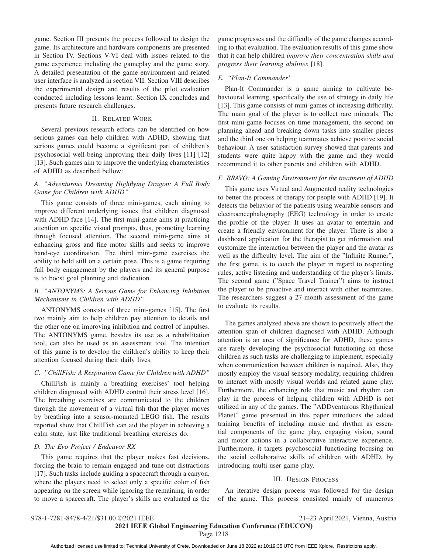game. Section III presents the process followed to design the game. Its architecture and hardware components are presented in Section IV. Sections V-VI deal with issues related to the game experience including the gameplay and the game story. A detailed presentation of the game environment and related user interface is analyzed in section VII. Section VIII describes the experimental design and results of the pilot evaluation conducted including lessons learnt. Section IX concludes and presents future research challenges.

#### II. RELATED WORK

Several previous research efforts can be identified on how serious games can help children with ADHD, showing that serious games could become a significant part of children's psychosocial well-being improving their daily lives [11] [12] [13]. Such games aim to improve the underlying characteristics of ADHD as described bellow:

### *A. "Adventurous Dreaming Highflying Dragon: A Full Body Game for Children with ADHD"*

This game consists of three mini-games, each aiming to improve different underlying issues that children diagnosed with ADHD face [14]. The first mini-game aims at practicing attention on specific visual prompts, thus, promoting learning through focused attention. The second mini-game aims at enhancing gross and fine motor skills and seeks to improve hand-eye coordination. The third mini-game exercises the ability to hold still on a certain pose. This is a game requiring full body engagement by the players and its general purpose is to boost goal planning and dedication.

#### *B. "ANTONYMS: A Serious Game for Enhancing Inhibition Mechanisms in Children with ADHD"*

ANTONYMS consists of three mini-games [15]. The first two mainly aim to help children pay attention to details and the other one on improving inhibition and control of impulses. The ANTONYMS game, besides its use as a rehabilitation tool, can also be used as an assessment tool. The intention of this game is to develop the children's ability to keep their attention focused during their daily lives.

#### *C. "ChillFish: A Respiration Game for Children with ADHD"*

ChillFish is mainly a breathing exercises' tool helping children diagnosed with ADHD control their stress level [16]. The breathing exercises are communicated to the children through the movement of a virtual fish that the player moves by breathing into a sensor-mounted LEGO fish. The results reported show that ChillFish can aid the player in achieving a calm state, just like traditional breathing exercises do.

#### *D. The Evo Project / Endeavor RX*

This game requires that the player makes fast decisions, forcing the brain to remain engaged and tune out distractions [17]. Such tasks include guiding a spacecraft through a canyon, where the players need to select only a specific color of fish appearing on the screen while ignoring the remaining, in order to move a spacecraft. The player's skills are evaluated as the game progresses and the difficulty of the game changes according to that evaluation. The evaluation results of this game show that it can help children *improve their concentration skills and progress their learning abilities* [18].

#### *E. "Plan-It Commander"*

Plan-It Commander is a game aiming to cultivate behavioural learning, specifically the use of strategy in daily life [13]. This game consists of mini-games of increasing difficulty. The main goal of the player is to collect rare minerals. The first mini-game focuses on time management, the second on planning ahead and breaking down tasks into smaller pieces and the third one on helping teammates achieve positive social behaviour. A user satisfaction survey showed that parents and students were quite happy with the game and they would recommend it to other parents and children with ADHD.

#### *F. BRAVO: A Gaming Environment for the treatment of ADHD*

This game uses Virtual and Augmented reality technologies to better the process of therapy for people with ADHD [19]. It detects the behavior of the patients using wearable sensors and electroencephalography (EEG) technology in order to create the profile of the player. It uses an avatar to entertain and create a friendly environment for the player. There is also a dashboard application for the therapist to get information and customize the interaction between the player and the avatar as well as the difficulty level. The aim of the "Infinite Runner", the first game, is to coach the player in regard to respecting rules, active listening and understanding of the player's limits. The second game ("Space Travel Trainer") aims to instruct the player to be proactive and interact with other teammates. The researchers suggest a 27-month assessment of the game to evaluate its results.

The games analyzed above are shown to positively affect the attention span of children diagnosed with ADHD. Although attention is an area of significance for ADHD, these games are rarely developing the psychosocial functioning on those children as such tasks are challenging to implement, especially when communication between children is required. Also, they mostly employ the visual sensory modality, requiring children to interact with mostly visual worlds and related game play. Furthermore, the enhancing role that music and rhythm can play in the process of helping children with ADHD is not utilized in any of the games. The "ADDventurous Rhythmical Planet" game presented in this paper introduces the added training benefits of including music and rhythm as essential components of the game play, engaging vision, sound and motor actions in a collaborative interactive experience. Furthermore, it targets psychosocial functioning focusing on the social collaborative skills of children with ADHD, by introducing multi-user game play.

#### III. DESIGN PROCESS

An iterative design process was followed for the design of the game. This process consisted mainly of numerous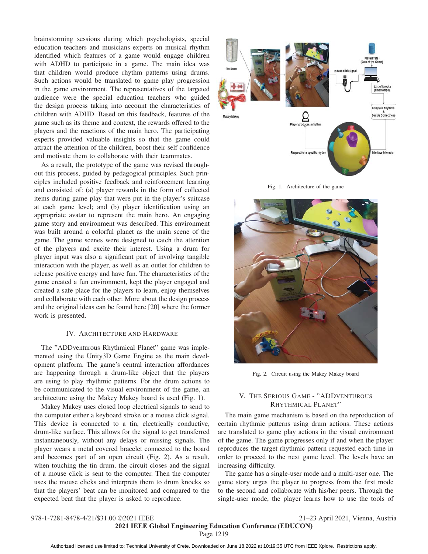brainstorming sessions during which psychologists, special education teachers and musicians experts on musical rhythm identified which features of a game would engage children with ADHD to participate in a game. The main idea was that children would produce rhythm patterns using drums. Such actions would be translated to game play progression in the game environment. The representatives of the targeted audience were the special education teachers who guided the design process taking into account the characteristics of children with ADHD. Based on this feedback, features of the game such as its theme and context, the rewards offered to the players and the reactions of the main hero. The participating experts provided valuable insights so that the game could attract the attention of the children, boost their self confidence and motivate them to collaborate with their teammates.

As a result, the prototype of the game was revised throughout this process, guided by pedagogical principles. Such principles included positive feedback and reinforcement learning and consisted of: (a) player rewards in the form of collected items during game play that were put in the player's suitcase at each game level; and (b) player identification using an appropriate avatar to represent the main hero. An engaging game story and environment was described. This environment was built around a colorful planet as the main scene of the game. The game scenes were designed to catch the attention of the players and excite their interest. Using a drum for player input was also a significant part of involving tangible interaction with the player, as well as an outlet for children to release positive energy and have fun. The characteristics of the game created a fun environment, kept the player engaged and created a safe place for the players to learn, enjoy themselves and collaborate with each other. More about the design process and the original ideas can be found here [20] where the former work is presented.

#### IV. ARCHITECTURE AND HARDWARE

The "ADDventurous Rhythmical Planet" game was implemented using the Unity3D Game Engine as the main development platform. The game's central interaction affordances are happening through a drum-like object that the players are using to play rhythmic patterns. For the drum actions to be communicated to the visual environment of the game, an architecture using the Makey Makey board is used (Fig. 1).

Makey Makey uses closed loop electrical signals to send to the computer either a keyboard stroke or a mouse click signal. This device is connected to a tin, electrically conductive, drum-like surface. This allows for the signal to get transferred instantaneously, without any delays or missing signals. The player wears a metal covered bracelet connected to the board and becomes part of an open circuit (Fig. 2). As a result, when touching the tin drum, the circuit closes and the signal of a mouse click is sent to the computer. Then the computer uses the mouse clicks and interprets them to drum knocks so that the players' beat can be monitored and compared to the expected beat that the player is asked to reproduce.



Fig. 1. Architecture of the game



Fig. 2. Circuit using the Makey Makey board

### V. THE SERIOUS GAME - "ADDVENTUROUS RHYTHMICAL PLANET"

The main game mechanism is based on the reproduction of certain rhythmic patterns using drum actions. These actions are translated to game play actions in the visual environment of the game. The game progresses only if and when the player reproduces the target rhythmic pattern requested each time in order to proceed to the next game level. The levels have an increasing difficulty.

The game has a single-user mode and a multi-user one. The game story urges the player to progress from the first mode to the second and collaborate with his/her peers. Through the single-user mode, the player learns how to use the tools of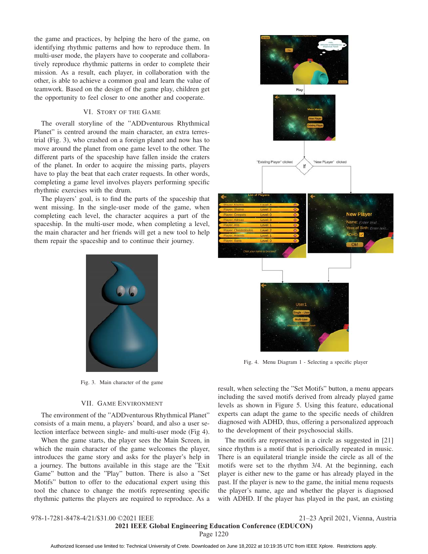the game and practices, by helping the hero of the game, on identifying rhythmic patterns and how to reproduce them. In multi-user mode, the players have to cooperate and collaboratively reproduce rhythmic patterns in order to complete their mission. As a result, each player, in collaboration with the other, is able to achieve a common goal and learn the value of teamwork. Based on the design of the game play, children get the opportunity to feel closer to one another and cooperate.

#### VI. STORY OF THE GAME

The overall storyline of the "ADDventurous Rhythmical Planet" is centred around the main character, an extra terrestrial (Fig. 3), who crashed on a foreign planet and now has to move around the planet from one game level to the other. The different parts of the spaceship have fallen inside the craters of the planet. In order to acquire the missing parts, players have to play the beat that each crater requests. In other words, completing a game level involves players performing specific rhythmic exercises with the drum.

The players' goal, is to find the parts of the spaceship that went missing. In the single-user mode of the game, when completing each level, the character acquires a part of the spaceship. In the multi-user mode, when completing a level, the main character and her friends will get a new tool to help them repair the spaceship and to continue their journey.



Fig. 3. Main character of the game

#### VII. GAME ENVIRONMENT

The environment of the "ADDventurous Rhythmical Planet" consists of a main menu, a players' board, and also a user selection interface between single- and multi-user mode (Fig 4).

When the game starts, the player sees the Main Screen, in which the main character of the game welcomes the player, introduces the game story and asks for the player's help in a journey. The buttons available in this stage are the "Exit Game" button and the "Play" button. There is also a "Set Motifs" button to offer to the educational expert using this tool the chance to change the motifs representing specific rhythmic patterns the players are required to reproduce. As a



Fig. 4. Menu Diagram 1 - Selecting a specific player

result, when selecting the "Set Motifs" button, a menu appears including the saved motifs derived from already played game levels as shown in Figure 5. Using this feature, educational experts can adapt the game to the specific needs of children diagnosed with ADHD, thus, offering a personalized approach to the development of their psychosocial skills.

The motifs are represented in a circle as suggested in [21] since rhythm is a motif that is periodically repeated in music. There is an equilateral triangle inside the circle as all of the motifs were set to the rhythm 3/4. At the beginning, each player is either new to the game or has already played in the past. If the player is new to the game, the initial menu requests the player's name, age and whether the player is diagnosed with ADHD. If the player has played in the past, an existing

الله عليه المسابح المسين Authorized licensed use limited to: Technical University of Crete. Downloaded on June 18,2022 at 10:19:35 UTC from IEEE Xplore. Restrictions apply.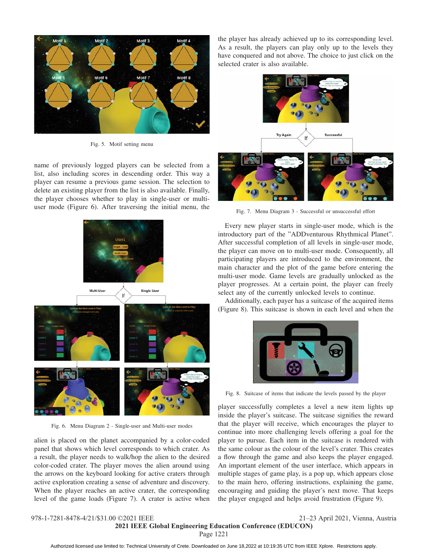

Fig. 5. Motif setting menu

name of previously logged players can be selected from a list, also including scores in descending order. This way a player can resume a previous game session. The selection to delete an existing player from the list is also available. Finally, the player chooses whether to play in single-user or multiuser mode (Figure 6). After traversing the initial menu, the



Fig. 6. Menu Diagram 2 - Single-user and Multi-user modes

alien is placed on the planet accompanied by a color-coded panel that shows which level corresponds to which crater. As a result, the player needs to walk/hop the alien to the desired color-coded crater. The player moves the alien around using the arrows on the keyboard looking for active craters through active exploration creating a sense of adventure and discovery. When the player reaches an active crater, the corresponding level of the game loads (Figure 7). A crater is active when

the player has already achieved up to its corresponding level. As a result, the players can play only up to the levels they have conquered and not above. The choice to just click on the selected crater is also available.



Fig. 7. Menu Diagram 3 - Successful or unsuccessful effort

Every new player starts in single-user mode, which is the introductory part of the "ADDventurous Rhythmical Planet". After successful completion of all levels in single-user mode, the player can move on to multi-user mode. Consequently, all participating players are introduced to the environment, the main character and the plot of the game before entering the multi-user mode. Game levels are gradually unlocked as the player progresses. At a certain point, the player can freely select any of the currently unlocked levels to continue.

Additionally, each payer has a suitcase of the acquired items (Figure 8). This suitcase is shown in each level and when the



Fig. 8. Suitcase of items that indicate the levels passed by the player

player successfully completes a level a new item lights up inside the player's suitcase. The suitcase signifies the reward that the player will receive, which encourages the player to continue into more challenging levels offering a goal for the player to pursue. Each item in the suitcase is rendered with the same colour as the colour of the level's crater. This creates a flow through the game and also keeps the player engaged. An important element of the user interface, which appears in multiple stages of game play, is a pop up, which appears close to the main hero, offering instructions, explaining the game, encouraging and guiding the player's next move. That keeps the player engaged and helps avoid frustration (Figure 9).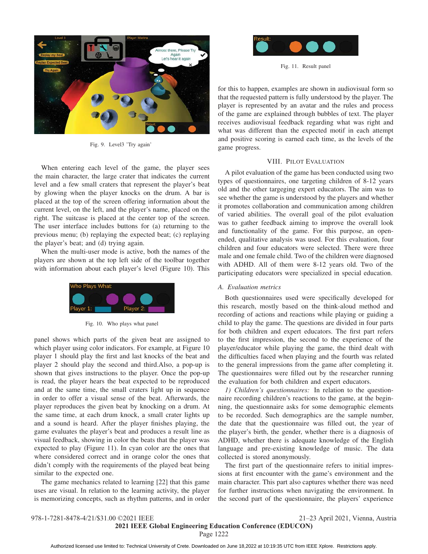

Fig. 9. Level3 'Try again'

When entering each level of the game, the player sees the main character, the large crater that indicates the current level and a few small craters that represent the player's beat by glowing when the player knocks on the drum. A bar is placed at the top of the screen offering information about the current level, on the left, and the player's name, placed on the right. The suitcase is placed at the center top of the screen. The user interface includes buttons for (a) returning to the previous menu; (b) replaying the expected beat; (c) replaying the player's beat; and (d) trying again.

When the multi-user mode is active, both the names of the players are shown at the top left side of the toolbar together with information about each player's level (Figure 10). This



Fig. 10. Who plays what panel

panel shows which parts of the given beat are assigned to which player using color indicators. For example, at Figure 10 player 1 should play the first and last knocks of the beat and player 2 should play the second and third.Also, a pop-up is shown that gives instructions to the player. Once the pop-up is read, the player hears the beat expected to be reproduced and at the same time, the small craters light up in sequence in order to offer a visual sense of the beat. Afterwards, the player reproduces the given beat by knocking on a drum. At the same time, at each drum knock, a small crater lights up and a sound is heard. After the player finishes playing, the game evaluates the player's beat and produces a result line as visual feedback, showing in color the beats that the player was expected to play (Figure 11). In cyan color are the ones that where considered correct and in orange color the ones that didn't comply with the requirements of the played beat being similar to the expected one.

The game mechanics related to learning [22] that this game uses are visual. In relation to the learning activity, the player is memorizing concepts, such as rhythm patterns, and in order



Fig. 11. Result panel

for this to happen, examples are shown in audiovisual form so that the requested pattern is fully understood by the player. The player is represented by an avatar and the rules and process of the game are explained through bubbles of text. The player receives audiovisual feedback regarding what was right and what was different than the expected motif in each attempt and positive scoring is earned each time, as the levels of the game progress.

#### VIII. PILOT EVALUATION

A pilot evaluation of the game has been conducted using two types of questionnaires, one targeting children of 8-12 years old and the other targeging expert educators. The aim was to see whether the game is understood by the players and whether it promotes collaboration and communication among children of varied abilities. The overall goal of the pilot evaluation was to gather feedback aiming to improve the overall look and functionality of the game. For this purpose, an openended, qualitative analysis was used. For this evaluation, four children and four educators were selected. There were three male and one female child. Two of the children were diagnosed with ADHD. All of them were 8-12 years old. Two of the participating educators were specialized in special education.

#### *A. Evaluation metrics*

Both questionnaires used were specifically developed for this research, mostly based on the think-aloud method and recording of actions and reactions while playing or guiding a child to play the game. The questions are divided in four parts for both children and expert educators. The first part refers to the first impression, the second to the experience of the player/educator while playing the game, the third dealt with the difficulties faced when playing and the fourth was related to the general impressions from the game after completing it. The questionnaires were filled out by the researcher running the evaluation for both children and expert educators.

*1) Children's questionnaires:* In relation to the questionnaire recording children's reactions to the game, at the beginning, the questionnaire asks for some demographic elements to be recorded. Such demographics are the sample number, the date that the questionnaire was filled out, the year of the player's birth, the gender, whether there is a diagnosis of ADHD, whether there is adequate knowledge of the English language and pre-existing knowledge of music. The data collected is stored anonymously.

The first part of the questionnaire refers to initial impressions at first encounter with the game's environment and the main character. This part also captures whether there was need for further instructions when navigating the environment. In the second part of the questionnaire, the players' experience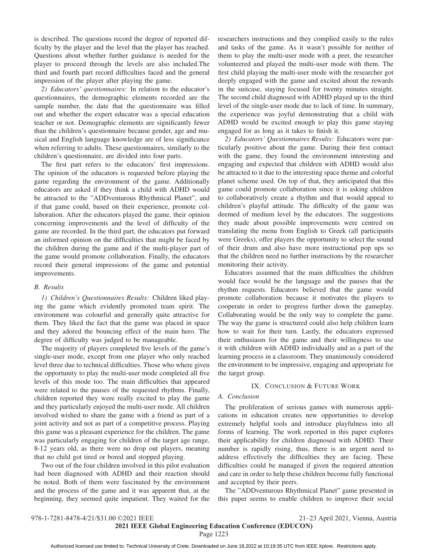is described. The questions record the degree of reported difficulty by the player and the level that the player has reached. Questions about whether further guidance is needed for the player to proceed through the levels are also included.The third and fourth part record difficulties faced and the general impression of the player after playing the game.

*2) Educators' questionnaires:* In relation to the educator's questionnaires, the demographic elements recorded are the sample number, the date that the questionnaire was filled out and whether the expert educator was a special education teacher or not. Demographic elements are significantly fewer than the children's questionnaire because gender, age and musical and English language knowledge are of less significance when referring to adults. These questionnaires, similarly to the children's questionnaire, are divided into four parts.

The first part refers to the educators' first impressions. The opinion of the educators is requested before playing the game regarding the environment of the game. Additionally educators are asked if they think a child with ADHD would be attracted to the "ADDventurous Rhythmical Planet", and if that game could, based on their experience, promote collaboration. After the educators played the game, their opinion concerning improvements and the level of difficulty of the game are recorded. In the third part, the educators put forward an informed opinion on the difficulties that might be faced by the children during the game and if the multi-player part of the game would promote collaboration. Finally, the educators record their general impressions of the game and potential improvements.

#### *B. Results*

*1) Children's Questionnaires Results:* Children liked playing the game which evidently promoted team spirit. The environment was colourful and generally quite attractive for them. They liked the fact that the game was placed in space and they adored the bouncing effect of the main hero. The degree of difficulty was judged to be manageable.

The majority of players completed five levels of the game's single-user mode, except from one player who only reached level three due to technical difficulties. Those who where given the opportunity to play the multi-user mode completed all five levels of this mode too. The main difficulties that appeared were related to the pauses of the requested rhythms. Finally, children reported they were really excited to play the game and they particularly enjoyed the multi-user mode. All children involved wished to share the game with a friend as part of a joint activity and not as part of a competitive process. Playing this game was a pleasant experience for the children. The game was particularly engaging for children of the target age range, 8-12 years old, as there were no drop out players, meaning that no child got tired or bored and stopped playing.

Two out of the four children involved in this pilot evaluation had been diagnosed with ADHD and their reaction should be noted. Both of them were fascinated by the environment and the process of the game and it was apparent that, at the beginning, they seemed quite impatient. They waited for the

researchers instructions and they complied easily to the rules and tasks of the game. As it wasn't possible for neither of them to play the multi-user mode with a peer, the researcher volunteered and played the multi-user mode with them. The first child playing the multi-user mode with the researcher got deeply engaged with the game and excited about the rewards in the suitcase, staying focused for twenty minutes straight. The second child diagnosed with ADHD played up to the third level of the single-user mode due to lack of time. In summary, the experience was joyful demonstrating that a child with ADHD would be excited enough to play this game staying engaged for as long as it takes to finish it.

*2) Educators' Questionnaires Results:* Educators were particularly positive about the game. During their first contact with the game, they found the environment interesting and engaging and expected that children with ADHD would also be attracted to it due to the interesting space theme and colorful planet scheme used. On top of that, they anticipated that this game could promote collaboration since it is asking children to collaboratively create a rhythm and that would appeal to children's playful attitude. The difficulty of the game was deemed of medium level by the educators. The suggestions they made about possible improvements were centred on translating the menu from English to Greek (all participants were Greeks), offer players the opportunity to select the sound of their drum and also have more instructional pop ups so that the children need no further instructions by the researcher monitoring their activity.

Educators assumed that the main difficulties the children would face would be the language and the pauses that the rhythm requests. Educators believed that the game would promote collaboration because it motivates the players to cooperate in order to progress further down the gameplay. Collaborating would be the only way to complete the game. The way the game is structured could also help children learn how to wait for their turn. Lastly, the educators expressed their enthusiasm for the game and their willingness to use it with children with ADHD individually and as a part of the learning process in a classroom. They unanimously considered the environment to be impressive, engaging and appropriate for the target group.

#### IX. CONCLUSION & FUTURE WORK

#### *A. Conclusion*

The proliferation of serious games with numerous applications in education creates new opportunities to develop extremely helpful tools and introduce playfulness into all forms of learning. The work reported in this paper explores their applicability for children diagnosed with ADHD. Their number is rapidly rising, thus, there is an urgent need to address effectively the difficulties they are facing. These difficulties could be managed if given the required attention and care in order to help these children become fully functional and accepted by their peers.

The "ADDventurous Rhythmical Planet" game presented in this paper seems to enable children to improve their social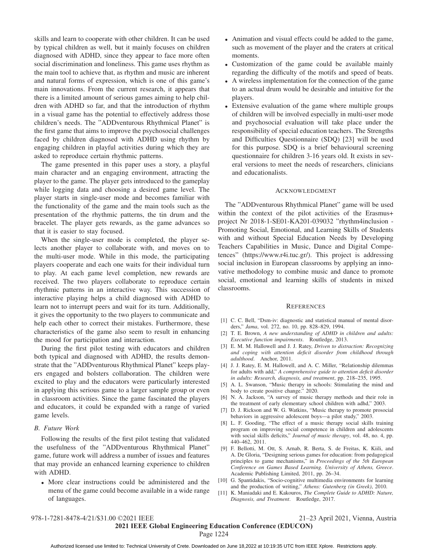skills and learn to cooperate with other children. It can be used by typical children as well, but it mainly focuses on children diagnosed with ADHD, since they appear to face more often social discrimination and loneliness. This game uses rhythm as the main tool to achieve that, as rhythm and music are inherent and natural forms of expression, which is one of this game's main innovations. From the current research, it appears that there is a limited amount of serious games aiming to help children with ADHD so far, and that the introduction of rhythm in a visual game has the potential to effectively address those children's needs. The "ADDventurous Rhythmical Planet" is the first game that aims to improve the psychosocial challenges faced by children diagnosed with ADHD using rhythm by engaging children in playful activities during which they are asked to reproduce certain rhythmic patterns.

The game presented in this paper uses a story, a playful main character and an engaging environment, attracting the player to the game. The player gets introduced to the gameplay while logging data and choosing a desired game level. The player starts in single-user mode and becomes familiar with the functionality of the game and the main tools such as the presentation of the rhythmic patterns, the tin drum and the bracelet. The player gets rewards, as the game advances so that it is easier to stay focused.

When the single-user mode is completed, the player selects another player to collaborate with, and moves on to the multi-user mode. While in this mode, the participating players cooperate and each one waits for their individual turn to play. At each game level completion, new rewards are received. The two players collaborate to reproduce certain rhythmic patterns in an interactive way. This succession of interactive playing helps a child diagnosed with ADHD to learn not to interrupt peers and wait for its turn. Additionally, it gives the opportunity to the two players to communicate and help each other to correct their mistakes. Furthermore, these characteristics of the game also seem to result in enhancing the mood for participation and interaction.

During the first pilot testing with educators and children both typical and diagnosed with ADHD, the results demonstrate that the "ADDventurous Rhythmical Planet" keeps players engaged and bolsters collaboration. The children were excited to play and the educators were particularly interested in applying this serious game to a larger sample group or even in classroom activities. Since the game fascinated the players and educators, it could be expanded with a range of varied game levels.

#### *B. Future Work*

Following the results of the first pilot testing that validated the usefulness of the "ADDventurous Rhythmical Planet" game, future work will address a number of issues and features that may provide an enhanced learning experience to children with ADHD.

• More clear instructions could be administered and the menu of the game could become available in a wide range of languages.

- Animation and visual effects could be added to the game, such as movement of the player and the craters at critical moments.
- Customization of the game could be available mainly regarding the difficulty of the motifs and speed of beats.
- A wireless implementation for the connection of the game to an actual drum would be desirable and intuitive for the players.
- Extensive evaluation of the game where multiple groups of children will be involved especially in multi-user mode and psychosocial evaluation will take place under the responsibility of special education teachers. The Strengths and Difficulties Questionnaire (SDQ) [23] will be used for this purpose. SDQ is a brief behavioural screening questionnaire for children 3-16 years old. It exists in several versions to meet the needs of researchers, clinicians and educationalists.

#### ACKNOWLEDGMENT

The "ADDventurous Rhythmical Planet" game will be used within the context of the pilot activities of the Erasmus+ project Nr 2018-1-SE01-KA201-039032 "rhythm4inclusion - Promoting Social, Emotional, and Learning Skills of Students with and without Special Education Needs by Developing Teachers Capabilities in Music, Dance and Digital Competences" (https://www.r4i.tuc.gr/). This project is addressing social inclusion in European classrooms by applying an innovative methodology to combine music and dance to promote social, emotional and learning skills of students in mixed classrooms.

#### **REFERENCES**

- [1] C. C. Bell, "Dsm-iv: diagnostic and statistical manual of mental disorders," *Jama*, vol. 272, no. 10, pp. 828–829, 1994.
- [2] T. E. Brown, *A new understanding of ADHD in children and adults: Executive function impairments*. Routledge, 2013.
- [3] E. M. M. Hallowell and J. J. Ratey, *Driven to distraction: Recognizing and coping with attention deficit disorder from childhood through adulthood*. Anchor, 2011.
- [4] J. J. Ratey, E. M. Hallowell, and A. C. Miller, "Relationship dilemmas for adults with add," *A comprehensive guide to attention deficit disorder in adults: Research, diagnosis, and treatment*, pp. 218–235, 1995.
- [5] A. L. Swanson, "Music therapy in schools: Stimulating the mind and body to create positive change." 2020.
- [6] N. A. Jackson, "A survey of music therapy methods and their role in the treatment of early elementary school children with adhd," 2003.
- [7] D. J. Rickson and W. G. Watkins, "Music therapy to promote prosocial behaviors in aggressive adolescent boys—a pilot study," 2003.
- [8] L. F. Gooding, "The effect of a music therapy social skills training program on improving social competence in children and adolescents with social skills deficits," *Journal of music therapy*, vol. 48, no. 4, pp. 440–462, 2011.
- [9] F. Bellotti, M. Ott, S. Arnab, R. Berta, S. de Freitas, K. Kiili, and A. De Gloria, "Designing serious games for education: from pedagogical principles to game mechanisms," in *Proceedings of the 5th European Conference on Games Based Learning. University of Athens, Greece*. Academic Publishing Limited, 2011, pp. 26–34.
- [10] G. Spantidakis, "Socio-cognitive multimedia environments for learning and the production of writing," *Athens: Gutenberg (in Greek)*, 2010.
- [11] K. Maniadaki and E. Kakouros, *The Complete Guide to ADHD: Nature, Diagnosis, and Treatment*. Routledge, 2017.

## 2021 IEEE Global Engineering Education Conference (EDUCON)

الله عليه المسين المسين Authorized licensed use limited to: Technical University of Crete. Downloaded on June 18,2022 at 10:19:35 UTC from IEEE Xplore. Restrictions apply.